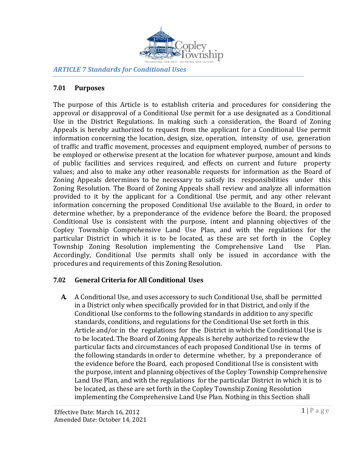

*ARTICLE 7 Standards for Conditional Uses*

### **7.01 Purposes**

The purpose of this Article is to establish criteria and procedures for considering the approval or disapproval of a Conditional Use permit for a use designated as a Conditional Use in the District Regulations. In making such a consideration, the Board of Zoning Appeals is hereby authorized to request from the applicant for a Conditional Use permit information concerning the location, design, size, operation, intensity of use, generation of traffic and traffic movement, processes and equipment employed, number of persons to be employed or otherwise present at the location for whatever purpose, amount and kinds of public facilities and services required, and effects on current and future property values; and also to make any other reasonable requests for information as the Board of Zoning Appeals determines to be necessary to satisfy its responsibilities under this Zoning Resolution. The Board of Zoning Appeals shall review and analyze all information provided to it by the applicant for a Conditional Use permit, and any other relevant information concerning the proposed Conditional Use available to the Board, in order to determine whether, by a preponderance of the evidence before the Board, the proposed Conditional Use is consistent with the purpose, intent and planning objectives of the Copley Township Comprehensive Land Use Plan, and with the regulations for the particular District in which it is to be located, as these are set forth in the Copley Township Zoning Resolution implementing the Comprehensive Land Use Plan. Accordingly, Conditional Use permits shall only be issued in accordance with the procedures and requirements of this Zoning Resolution.

#### **7.02 General Criteria for All Conditional Uses**

**A.** A Conditional Use, and uses accessory to such Conditional Use, shall be permitted in a District only when specifically provided for in that District, and only if the Conditional Use conforms to the following standards in addition to any specific standards, conditions, and regulations for the Conditional Use set forth in this Article and/or in the regulations for the District in which the Conditional Use is to be located. The Board of Zoning Appeals is hereby authorized to review the particular facts and circumstances of each proposed Conditional Use in terms of the following standards in order to determine whether, by a preponderance of the evidence before the Board, each proposed Conditional Use is consistent with the purpose, intent and planning objectives of the Copley Township Comprehensive Land Use Plan, and with the regulations for the particular District in which it is to be located, as these are set forth in the Copley Township Zoning Resolution implementing the Comprehensive Land Use Plan. Nothing in this Section shall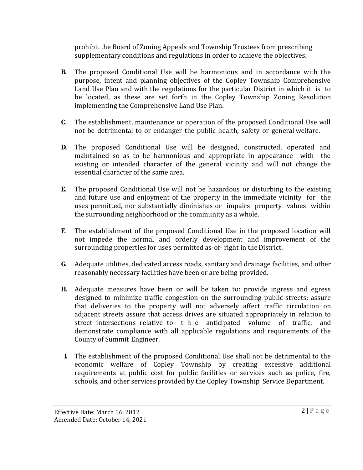prohibit the Board of Zoning Appeals and Township Trustees from prescribing supplementary conditions and regulations in order to achieve the objectives.

- **B.** The proposed Conditional Use will be harmonious and in accordance with the purpose, intent and planning objectives of the Copley Township Comprehensive Land Use Plan and with the regulations for the particular District in which it is to be located, as these are set forth in the Copley Township Zoning Resolution implementing the Comprehensive Land Use Plan.
- **C.** The establishment, maintenance or operation of the proposed Conditional Use will not be detrimental to or endanger the public health, safety or general welfare.
- **D.** The proposed Conditional Use will be designed, constructed, operated and maintained so as to be harmonious and appropriate in appearance with the existing or intended character of the general vicinity and will not change the essential character of the same area.
- **E.** The proposed Conditional Use will not be hazardous or disturbing to the existing and future use and enjoyment of the property in the immediate vicinity for the uses permitted, nor substantially diminishes or impairs property values within the surrounding neighborhood or the community as a whole.
- **F.** The establishment of the proposed Conditional Use in the proposed location will not impede the normal and orderly development and improvement of the surrounding properties for uses permitted as-of-right in the District.
- **G.** Adequate utilities, dedicated access roads, sanitary and drainage facilities, and other reasonably necessary facilities have been or are being provided.
- **H.** Adequate measures have been or will be taken to: provide ingress and egress designed to minimize traffic congestion on the surrounding public streets; assure that deliveries to the property will not adversely affect traffic circulation on adjacent streets assure that access drives are situated appropriately in relation to street intersections relative to t h e anticipated volume of traffic, and demonstrate compliance with all applicable regulations and requirements of the County of Summit Engineer.
- **I.** The establishment of the proposed Conditional Use shall not be detrimental to the economic welfare of Copley Township by creating excessive additional requirements at public cost for public facilities or services such as police, fire, schools, and other services provided by the Copley Township Service Department.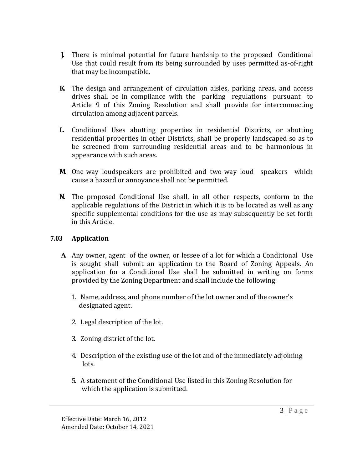- **J.** There is minimal potential for future hardship to the proposed Conditional Use that could result from its being surrounded by uses permitted as-of-right that may be incompatible.
- **K.** The design and arrangement of circulation aisles, parking areas, and access drives shall be in compliance with the parking regulations pursuant to Article 9 of this Zoning Resolution and shall provide for interconnecting circulation among adjacent parcels.
- **L.** Conditional Uses abutting properties in residential Districts, or abutting residential properties in other Districts, shall be properly landscaped so as to be screened from surrounding residential areas and to be harmonious in appearance with such areas.
- **M.** One-way loudspeakers are prohibited and two-way loud speakers which cause a hazard or annoyance shall not be permitted.
- **N.** The proposed Conditional Use shall, in all other respects, conform to the applicable regulations of the District in which it is to be located as well as any specific supplemental conditions for the use as may subsequently be set forth in this Article.

#### **7.03 Application**

- **A.** Any owner, agent of the owner, or lessee of a lot for which a Conditional Use is sought shall submit an application to the Board of Zoning Appeals. An application for a Conditional Use shall be submitted in writing on forms provided by the Zoning Department and shall include the following:
	- 1. Name, address, and phone number of the lot owner and of the owner's designated agent.
	- 2. Legal description of the lot.
	- 3. Zoning district of the lot.
	- 4. Description of the existing use of the lot and of the immediately adjoining lots.
	- 5. A statement of the Conditional Use listed in this Zoning Resolution for which the application is submitted.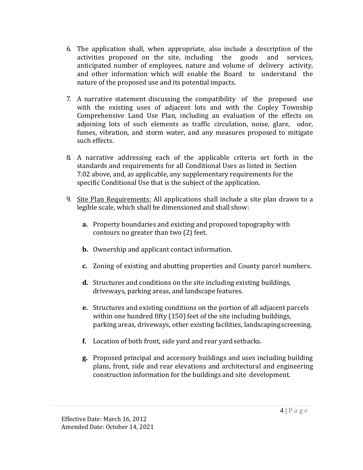- 6. The application shall, when appropriate, also include a description of the activities proposed on the site, including the goods and services, anticipated number of employees, nature and volume of delivery activity, and other information which will enable the Board to understand the nature of the proposed use and its potential impacts.
- 7. A narrative statement discussing the compatibility of the proposed use with the existing uses of adjacent lots and with the Copley Township Comprehensive Land Use Plan, including an evaluation of the effects on adjoining lots of such elements as traffic circulation, noise, glare, odor, fumes, vibration, and storm water, and any measures proposed to mitigate such effects.
- 8. A narrative addressing each of the applicable criteria set forth in the standards and requirements for all Conditional Uses as listed in Section 7.02 above, and, as applicable, any supplementary requirements for the specific Conditional Use that is the subject of the application.
- 9. Site Plan Requirements: All applications shall include a site plan drawn to a legible scale, which shall be dimensioned and shall show:
	- **a.** Property boundaries and existing and proposed topography with contours no greater than two (2) feet.
	- **b.** Ownership and applicant contact information.
	- **c.** Zoning of existing and abutting properties and County parcel numbers.
	- **d.** Structures and conditions on the site including existing buildings, driveways, parking areas, and landscape features.
	- **e.** Structures and existing conditions on the portion of all adjacent parcels within one hundred fifty (150) feet of the site including buildings, parking areas, driveways, other existing facilities, landscapingscreening.
	- **f.** Location of both front, side yard and rear yard setbacks.
	- **g.** Proposed principal and accessory buildings and uses including building plans, front, side and rear elevations and architectural and engineering construction information for the buildings and site development.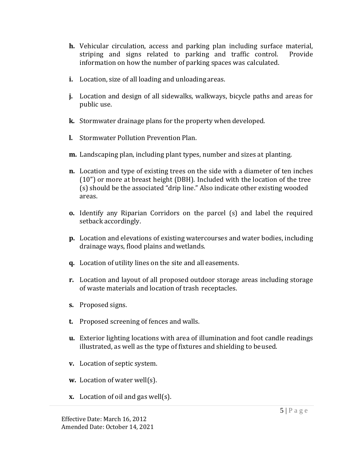- **h.** Vehicular circulation, access and parking plan including surface material, striping and signs related to parking and traffic control. Provide information on how the number of parking spaces was calculated.
- **i.** Location, size of all loading and unloading areas.
- **j.** Location and design of all sidewalks, walkways, bicycle paths and areas for public use.
- **k.** Stormwater drainage plans for the property when developed.
- **l.** Stormwater Pollution Prevention Plan.
- **m.** Landscaping plan, including plant types, number and sizes at planting.
- **n.** Location and type of existing trees on the side with a diameter of ten inches (10") or more at breast height (DBH). Included with the location of the tree (s) should be the associated "drip line." Also indicate other existing wooded areas.
- **o.** Identify any Riparian Corridors on the parcel (s) and label the required setback accordingly.
- **p.** Location and elevations of existing watercourses and water bodies, including drainage ways, flood plains andwetlands.
- **q.** Location of utility lines on the site and all easements.
- **r.** Location and layout of all proposed outdoor storage areas including storage of waste materials and location of trash receptacles.
- **s.** Proposed signs.
- **t.** Proposed screening of fences and walls.
- **u.** Exterior lighting locations with area of illumination and foot candle readings illustrated, as well as the type of fixtures and shielding to beused.
- **v.** Location of septic system.
- **w.** Location of water well(s).
- **x.** Location of oil and gas well(s).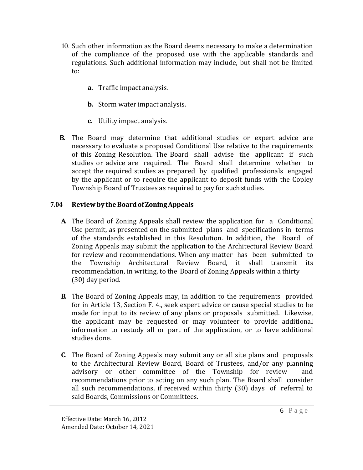- 10. Such other information as the Board deems necessary to make a determination of the compliance of the proposed use with the applicable standards and regulations. Such additional information may include, but shall not be limited to:
	- **a.** Traffic impact analysis.
	- **b.** Storm water impact analysis.
	- **c.** Utility impact analysis.
- **B.** The Board may determine that additional studies or expert advice are necessary to evaluate a proposed Conditional Use relative to the requirements of this Zoning Resolution. The Board shall advise the applicant if such studies or advice are required. The Board shall determine whether to accept the required studies as prepared by qualified professionals engaged by the applicant or to require the applicant to deposit funds with the Copley Township Board of Trustees as required to pay for suchstudies.

#### **7.04 ReviewbytheBoardofZoningAppeals**

- **A.** The Board of Zoning Appeals shall review the application for a Conditional Use permit, as presented on the submitted plans and specifications in terms of the standards established in this Resolution. In addition, the Board of Zoning Appeals may submit the application to the Architectural Review Board for review and recommendations. When any matter has been submitted to the Township Architectural Review Board, it shall transmit its recommendation, in writing, to the Board of Zoning Appeals within a thirty (30) day period.
- **B.** The Board of Zoning Appeals may, in addition to the requirements provided for in Article 13, Section F. 4., seek expert advice or cause special studies to be made for input to its review of any plans or proposals submitted. Likewise, the applicant may be requested or may volunteer to provide additional information to restudy all or part of the application, or to have additional studies done.
- **C.** The Board of Zoning Appeals may submit any or all site plans and proposals to the Architectural Review Board, Board of Trustees, and/or any planning advisory or other committee of the Township for review recommendations prior to acting on any such plan. The Board shall consider all such recommendations, if received within thirty (30) days of referral to said Boards, Commissions or Committees.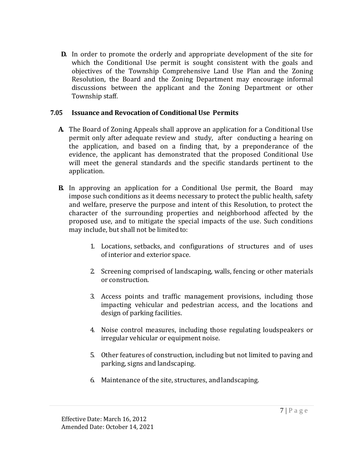**D.** In order to promote the orderly and appropriate development of the site for which the Conditional Use permit is sought consistent with the goals and objectives of the Township Comprehensive Land Use Plan and the Zoning Resolution, the Board and the Zoning Department may encourage informal discussions between the applicant and the Zoning Department or other Township staff.

#### **7.05 Issuance and Revocation of Conditional Use Permits**

- **A.** The Board of Zoning Appeals shall approve an application for a Conditional Use permit only after adequate review and study, after conducting a hearing on the application, and based on a finding that, by a preponderance of the evidence, the applicant has demonstrated that the proposed Conditional Use will meet the general standards and the specific standards pertinent to the application.
- **B.** In approving an application for a Conditional Use permit, the Board may impose such conditions as it deems necessary to protect the public health, safety and welfare, preserve the purpose and intent of this Resolution, to protect the character of the surrounding properties and neighborhood affected by the proposed use, and to mitigate the special impacts of the use. Such conditions may include, but shall not be limited to:
	- 1. Locations, setbacks, and configurations of structures and of uses of interior and exterior space.
	- 2. Screening comprised of landscaping, walls, fencing or other materials or construction.
	- 3. Access points and traffic management provisions, including those impacting vehicular and pedestrian access, and the locations and design of parking facilities.
	- 4. Noise control measures, including those regulating loudspeakers or irregular vehicular or equipment noise.
	- 5. Other features of construction, including but not limited to paving and parking, signs and landscaping.
	- 6. Maintenance of the site, structures, and landscaping.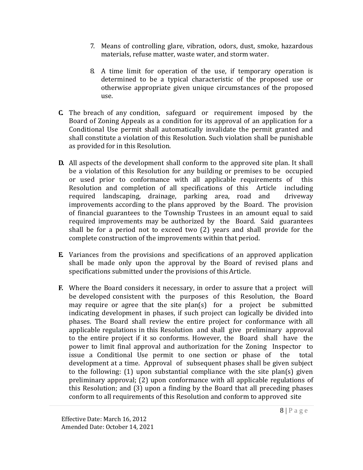- 7. Means of controlling glare, vibration, odors, dust, smoke, hazardous materials, refuse matter, waste water, and storm water.
- 8. A time limit for operation of the use, if temporary operation is determined to be a typical characteristic of the proposed use or otherwise appropriate given unique circumstances of the proposed use.
- **C.** The breach of any condition, safeguard or requirement imposed by the Board of Zoning Appeals as a condition for its approval of an application for a Conditional Use permit shall automatically invalidate the permit granted and shall constitute a violation of this Resolution. Such violation shall be punishable as provided for in this Resolution.
- **D.** All aspects of the development shall conform to the approved site plan. It shall be a violation of this Resolution for any building or premises to be occupied or used prior to conformance with all applicable requirements of this Resolution and completion of all specifications of this Article including required landscaping, drainage, parking area, road and driveway improvements according to the plans approved by the Board. The provision of financial guarantees to the Township Trustees in an amount equal to said required improvements may be authorized by the Board. Said guarantees shall be for a period not to exceed two (2) years and shall provide for the complete construction of the improvements within that period.
- **E.** Variances from the provisions and specifications of an approved application shall be made only upon the approval by the Board of revised plans and specifications submitted under the provisions of this Article.
- **F.** Where the Board considers it necessary, in order to assure that a project will be developed consistent with the purposes of this Resolution, the Board may require or agree that the site plan(s) for a project be submitted indicating development in phases, if such project can logically be divided into phases. The Board shall review the entire project for conformance with all applicable regulations in this Resolution and shall give preliminary approval to the entire project if it so conforms. However, the Board shall have the power to limit final approval and authorization for the Zoning Inspector to issue a Conditional Use permit to one section or phase of the total development at a time. Approval of subsequent phases shall be given subject to the following: (1) upon substantial compliance with the site plan(s) given preliminary approval; (2) upon conformance with all applicable regulations of this Resolution; and (3) upon a finding by the Board that all preceding phases conform to all requirements of this Resolution and conform to approved site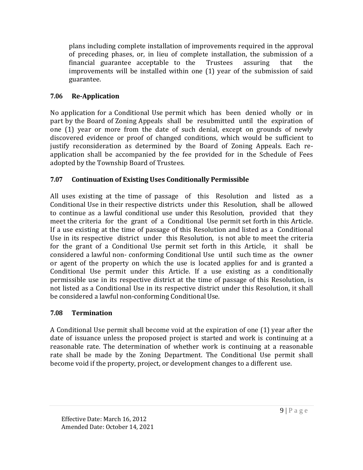plans including complete installation of improvements required in the approval of preceding phases, or, in lieu of complete installation, the submission of a financial guarantee acceptable to the Trustees assuring that the improvements will be installed within one (1) year of the submission of said guarantee.

# **7.06 Re-Application**

No application for a Conditional Use permit which has been denied wholly or in part by the Board of Zoning Appeals shall be resubmitted until the expiration of one (1) year or more from the date of such denial, except on grounds of newly discovered evidence or proof of changed conditions, which would be sufficient to justify reconsideration as determined by the Board of Zoning Appeals. Each reapplication shall be accompanied by the fee provided for in the Schedule of Fees adopted by the Township Board of Trustees.

## **7.07 Continuation of Existing Uses Conditionally Permissible**

All uses existing at the time of passage of this Resolution and listed as a Conditional Use in their respective districts under this Resolution, shall be allowed to continue as a lawful conditional use under this Resolution, provided that they meet the criteria for the grant of a Conditional Use permit set forth in this Article. If a use existing at the time of passage of this Resolution and listed as a Conditional Use in its respective district under this Resolution, is not able to meet the criteria for the grant of a Conditional Use permit set forth in this Article, it shall be considered a lawful non- conforming Conditional Use until such time as the owner or agent of the property on which the use is located applies for and is granted a Conditional Use permit under this Article. If a use existing as a conditionally permissible use in its respective district at the time of passage of this Resolution, is not listed as a Conditional Use in its respective district under this Resolution, it shall be considered a lawful non-conforming Conditional Use.

#### **7.08 Termination**

A Conditional Use permit shall become void at the expiration of one (1) year after the date of issuance unless the proposed project is started and work is continuing at a reasonable rate. The determination of whether work is continuing at a reasonable rate shall be made by the Zoning Department. The Conditional Use permit shall become void if the property, project, or development changes to a different use.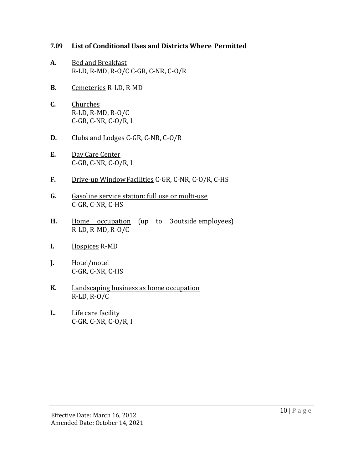#### **7.09 List of Conditional Uses and Districts Where Permitted**

- **A.** Bed and Breakfast R-LD, R-MD, R-O/C C-GR, C-NR, C-O/R
- **B.** Cemeteries R-LD, R-MD
- **C.** Churches R-LD, R-MD, R-O/C C-GR, C-NR, C-O/R, I
- **D.** Clubs and Lodges C-GR, C-NR, C-O/R
- **E.** Day Care Center C-GR, C-NR, C-O/R, I
- **F.** Drive-up WindowFacilities C-GR, C-NR, C-O/R, C-HS
- **G.** Gasoline service station: full use or multi-use C-GR, C-NR, C-HS
- **H.** Home occupation (up to 3 outside employees) R-LD, R-MD, R-O/C
- **I.** Hospices R-MD
- **J.** Hotel/motel C-GR, C-NR, C-HS
- **K.** Landscaping business as home occupation R-LD, R-O/C
- **L.** Life care facility C-GR, C-NR, C-O/R, I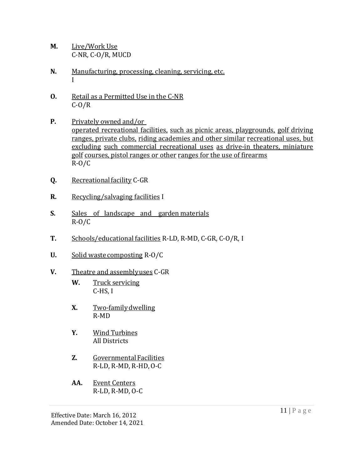- **M.** Live/Work Use C-NR, C-O/R, MUCD
- **N.** Manufacturing, processing, cleaning, servicing, etc. I
- **O.** Retail as a Permitted Use in the C-NR  $C-O/R$
- **P.** Privately owned and/or operated recreational facilities, such as picnic areas, playgrounds, golf driving ranges, private clubs, riding academies and other similar recreational uses, but excluding such commercial recreational uses as drive-in theaters, miniature golf courses, pistol ranges or other ranges for the use of firearms R-O/C
- **Q.** Recreationalfacility C-GR
- **R.** Recycling/salvaging facilities I
- **S.** Sales of landscape and garden materials R-O/C
- **T.** Schools/educational facilities R-LD, R-MD, C-GR, C-O/R, I
- **U.** Solid waste composting R-O/C
- **V.** Theatre and assemblyuses C-GR
	- **W.** Truck servicing C-HS, I
	- **X.** Two-familydwelling R-MD
	- **Y.** Wind Turbines All Districts
	- **Z.** GovernmentalFacilities R-LD, R-MD, R-HD,O-C
	- **AA.** Event Centers R-LD, R-MD, O-C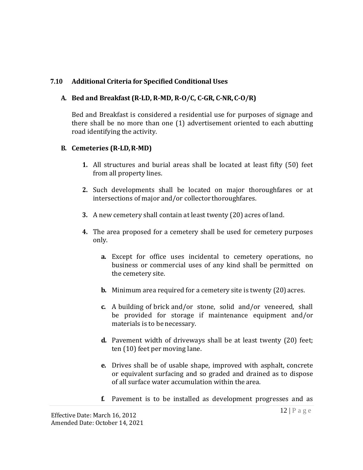### **7.10 Additional Criteria for Specified Conditional Uses**

### **A. Bed and Breakfast (R-LD, R-MD, R-O/C, C-GR, C-NR,C-O/R)**

Bed and Breakfast is considered a residential use for purposes of signage and there shall be no more than one (1) advertisement oriented to each abutting road identifying the activity.

#### **B. Cemeteries (R-LD,R-MD)**

- **1.** All structures and burial areas shall be located at least fifty (50) feet from all property lines.
- **2.** Such developments shall be located on major thoroughfares or at intersections of major and/or collector thoroughfares.
- **3.** A new cemetery shall contain at least twenty (20) acres of land.
- **4.** The area proposed for a cemetery shall be used for cemetery purposes only.
	- **a.** Except for office uses incidental to cemetery operations, no business or commercial uses of any kind shall be permitted on the cemetery site.
	- **b.** Minimum area required for a cemetery site is twenty (20) acres.
	- **c.** A building of brick and/or stone, solid and/or veneered, shall be provided for storage if maintenance equipment and/or materials is to be necessary.
	- **d.** Pavement width of driveways shall be at least twenty (20) feet; ten (10) feet per moving lane.
	- **e.** Drives shall be of usable shape, improved with asphalt, concrete or equivalent surfacing and so graded and drained as to dispose of all surface water accumulation within the area.
	- **f.** Pavement is to be installed as development progresses and as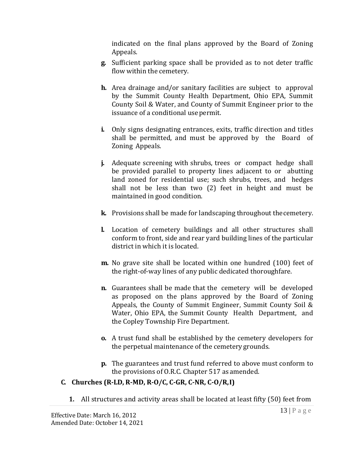indicated on the final plans approved by the Board of Zoning Appeals.

- **g.** Sufficient parking space shall be provided as to not deter traffic flow within the cemetery.
- **h.** Area drainage and/or sanitary facilities are subject to approval by the Summit County Health Department, Ohio EPA, Summit County Soil & Water, and County of Summit Engineer prior to the issuance of a conditional use permit.
- **i.** Only signs designating entrances, exits, traffic direction and titles shall be permitted, and must be approved by the Board of Zoning Appeals.
- **j.** Adequate screening with shrubs, trees or compact hedge shall be provided parallel to property lines adjacent to or abutting land zoned for residential use; such shrubs, trees, and hedges shall not be less than two (2) feet in height and must be maintained in good condition.
- **k.** Provisions shall be made for landscaping throughout thecemetery.
- **l.** Location of cemetery buildings and all other structures shall conform to front, side and rear yard building lines of the particular district in which it is located.
- **m.** No grave site shall be located within one hundred (100) feet of the right-of-way lines of any public dedicated thoroughfare.
- **n.** Guarantees shall be made that the cemetery will be developed as proposed on the plans approved by the Board of Zoning Appeals, the County of Summit Engineer, Summit County Soil & Water, Ohio EPA, the Summit County Health Department, and the Copley Township Fire Department.
- **o.** A trust fund shall be established by the cemetery developers for the perpetual maintenance of the cemetery grounds.
- **p.** The guarantees and trust fund referred to above must conform to the provisions of O.R.C. Chapter 517 as amended.

# **C. Churches (R-LD, R-MD, R-O/C, C-GR, C-NR, C-O/R,I)**

**1.** All structures and activity areas shall be located at least fifty (50) feet from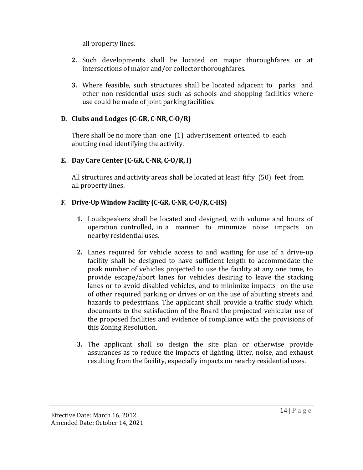all property lines.

- **2.** Such developments shall be located on major thoroughfares or at intersections of major and/or collector thoroughfares.
- **3.** Where feasible, such structures shall be located adjacent to parks and other non-residential uses such as schools and shopping facilities where use could be made of joint parking facilities.

## **D. Clubs and Lodges (C-GR, C-NR,C-O/R)**

There shall be no more than one (1) advertisement oriented to each abutting road identifying the activity.

## **E. Day Care Center (C-GR, C-NR, C-O/R, I)**

All structures and activity areas shall be located at least fifty (50) feet from all property lines.

# **F. Drive-Up Window Facility (C-GR, C-NR, C-O/R,C-HS)**

- **1.** Loudspeakers shall be located and designed, with volume and hours of operation controlled, in a manner to minimize noise impacts on nearby residential uses.
- **2.** Lanes required for vehicle access to and waiting for use of a drive-up facility shall be designed to have sufficient length to accommodate the peak number of vehicles projected to use the facility at any one time, to provide escape/abort lanes for vehicles desiring to leave the stacking lanes or to avoid disabled vehicles, and to minimize impacts on the use of other required parking or drives or on the use of abutting streets and hazards to pedestrians. The applicant shall provide a traffic study which documents to the satisfaction of the Board the projected vehicular use of the proposed facilities and evidence of compliance with the provisions of this Zoning Resolution.
- **3.** The applicant shall so design the site plan or otherwise provide assurances as to reduce the impacts of lighting, litter, noise, and exhaust resulting from the facility, especially impacts on nearby residential uses.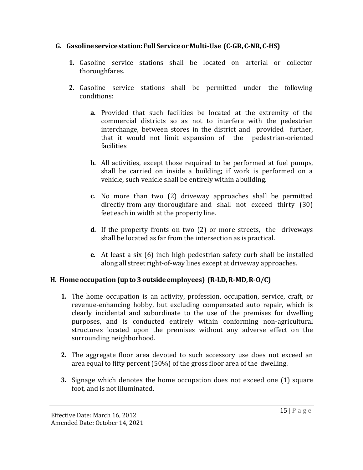## **G. Gasolineservicestation:Full ServiceorMulti-Use (C-GR,C-NR,C-HS)**

- **1.** Gasoline service stations shall be located on arterial or collector thoroughfares.
- **2.** Gasoline service stations shall be permitted under the following conditions:
	- **a.** Provided that such facilities be located at the extremity of the commercial districts so as not to interfere with the pedestrian interchange, between stores in the district and provided further, that it would not limit expansion of the pedestrian-oriented facilities
	- **b.** All activities, except those required to be performed at fuel pumps, shall be carried on inside a building; if work is performed on a vehicle, such vehicle shall be entirely within abuilding.
	- **c.** No more than two (2) driveway approaches shall be permitted directly from any thoroughfare and shall not exceed thirty (30) feet each in width at the property line.
	- **d.** If the property fronts on two (2) or more streets, the driveways shall be located as far from the intersection as ispractical.
	- **e.** At least a six (6) inch high pedestrian safety curb shall be installed along all street right-of-way lines except at driveway approaches.

# **H. Homeoccupation (upto 3outsideemployees) (R-LD,R-MD,R-O/C)**

- **1.** The home occupation is an activity, profession, occupation, service, craft, or revenue-enhancing hobby, but excluding compensated auto repair, which is clearly incidental and subordinate to the use of the premises for dwelling purposes, and is conducted entirely within conforming non-agricultural structures located upon the premises without any adverse effect on the surrounding neighborhood.
- **2.** The aggregate floor area devoted to such accessory use does not exceed an area equal to fifty percent (50%) of the gross floor area of the dwelling.
- **3.** Signage which denotes the home occupation does not exceed one (1) square foot, and is not illuminated.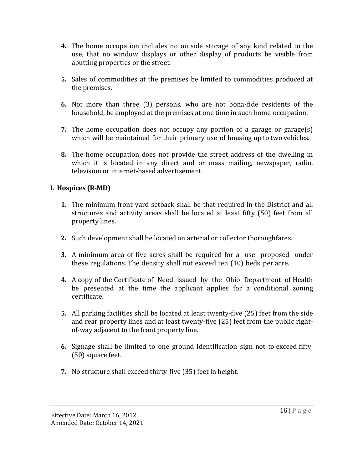- **4.** The home occupation includes no outside storage of any kind related to the use, that no window displays or other display of products be visible from abutting properties or the street.
- **5.** Sales of commodities at the premises be limited to commodities produced at the premises.
- **6.** Not more than three (3) persons, who are not bona-fide residents of the household, be employed at the premises at one time in such home occupation.
- **7.** The home occupation does not occupy any portion of a garage or garage(s) which will be maintained for their primary use of housing up to two vehicles.
- **8.** The home occupation does not provide the street address of the dwelling in which it is located in any direct and or mass mailing, newspaper, radio, television or internet-based advertisement.

## **I. Hospices (R-MD)**

- **1.** The minimum front yard setback shall be that required in the District and all structures and activity areas shall be located at least fifty (50) feet from all property lines.
- **2.** Such development shall be located on arterial or collector thoroughfares.
- **3.** A minimum area of five acres shall be required for a use proposed under these regulations. The density shall not exceed ten (10) beds per acre.
- **4.** A copy of the Certificate of Need issued by the Ohio Department of Health be presented at the time the applicant applies for a conditional zoning certificate.
- **5.** All parking facilities shall be located at least twenty-five (25) feet from the side and rear property lines and at least twenty-five (25) feet from the public rightof-way adjacent to the front property line.
- **6.** Signage shall be limited to one ground identification sign not to exceed fifty (50) square feet.
- **7.** No structure shall exceed thirty-five (35) feet in height.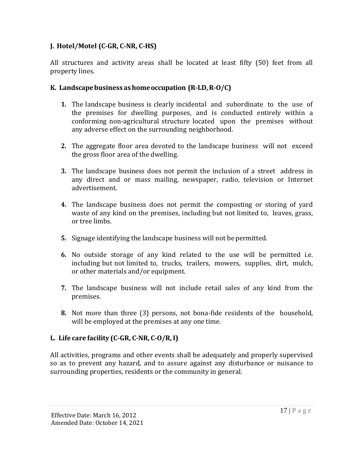# **J. Hotel/Motel (C-GR, C-NR, C-HS)**

All structures and activity areas shall be located at least fifty (50) feet from all property lines.

### **K. Landscapebusiness as homeoccupation (R-LD,R-O/C)**

- **1.** The landscape business is clearly incidental and subordinate to the use of the premises for dwelling purposes, and is conducted entirely within a conforming non-agricultural structure located upon the premises without any adverse effect on the surrounding neighborhood.
- **2.** The aggregate floor area devoted to the landscape business will not exceed the gross floor area of the dwelling.
- **3.** The landscape business does not permit the inclusion of a street address in any direct and or mass mailing, newspaper, radio, television or Internet advertisement.
- **4.** The landscape business does not permit the composting or storing of yard waste of any kind on the premises, including but not limited to, leaves, grass, or tree limbs.
- **5.** Signage identifying the landscape business will not be permitted.
- **6.** No outside storage of any kind related to the use will be permitted i.e. including but not limited to, trucks, trailers, mowers, supplies, dirt, mulch, or other materials and/or equipment.
- **7.** The landscape business will not include retail sales of any kind from the premises.
- **8.** Not more than three (3) persons, not bona-fide residents of the household, will be employed at the premises at any one time.

# **L. Life care facility (C-GR, C-NR, C-O/R, I)**

All activities, programs and other events shall be adequately and properly supervised so as to prevent any hazard, and to assure against any disturbance or nuisance to surrounding properties, residents or the community in general.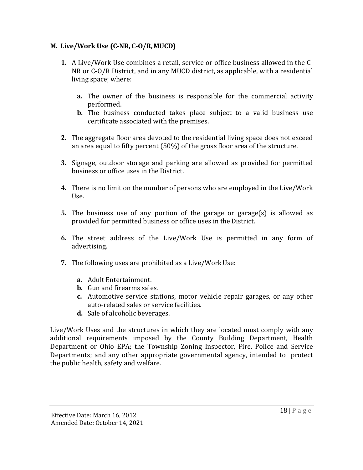## **M. Live/Work Use (C-NR, C-O/R,MUCD)**

- **1.** A Live/Work Use combines a retail, service or office business allowed in the C-NR or C-O/R District, and in any MUCD district, as applicable, with a residential living space; where:
	- **a.** The owner of the business is responsible for the commercial activity performed.
	- **b.** The business conducted takes place subject to a valid business use certificate associated with the premises.
- **2.** The aggregate floor area devoted to the residential living space does not exceed an area equal to fifty percent (50%) of the gross floor area of the structure.
- **3.** Signage, outdoor storage and parking are allowed as provided for permitted business or office uses in the District.
- **4.** There is no limit on the number of persons who are employed in the Live/Work Use.
- **5.** The business use of any portion of the garage or garage(s) is allowed as provided for permitted business or office uses in the District.
- **6.** The street address of the Live/Work Use is permitted in any form of advertising.
- **7.** The following uses are prohibited as a Live/WorkUse:
	- **a.** Adult Entertainment.
	- **b.** Gun and firearms sales.
	- **c.** Automotive service stations, motor vehicle repair garages, or any other auto-related sales or service facilities.
	- **d.** Sale of alcoholic beverages.

Live/Work Uses and the structures in which they are located must comply with any additional requirements imposed by the County Building Department, Health Department or Ohio EPA; the Township Zoning Inspector, Fire, Police and Service Departments; and any other appropriate governmental agency, intended to protect the public health, safety and welfare.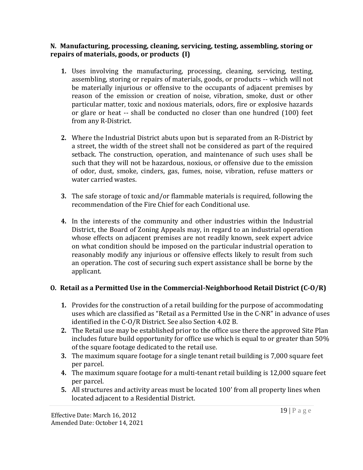#### **N. Manufacturing, processing, cleaning, servicing, testing, assembling, storing or repairs of materials, goods, or products (I)**

- **1.** Uses involving the manufacturing, processing, cleaning, servicing, testing, assembling, storing or repairs of materials, goods, or products -- which will not be materially injurious or offensive to the occupants of adjacent premises by reason of the emission or creation of noise, vibration, smoke, dust or other particular matter, toxic and noxious materials, odors, fire or explosive hazards or glare or heat -- shall be conducted no closer than one hundred (100) feet from any R-District.
- **2.** Where the Industrial District abuts upon but is separated from an R-District by a street, the width of the street shall not be considered as part of the required setback. The construction, operation, and maintenance of such uses shall be such that they will not be hazardous, noxious, or offensive due to the emission of odor, dust, smoke, cinders, gas, fumes, noise, vibration, refuse matters or water carried wastes.
- **3.** The safe storage of toxic and/or flammable materials is required, following the recommendation of the Fire Chief for each Conditional use.
- **4.** In the interests of the community and other industries within the Industrial District, the Board of Zoning Appeals may, in regard to an industrial operation whose effects on adjacent premises are not readily known, seek expert advice on what condition should be imposed on the particular industrial operation to reasonably modify any injurious or offensive effects likely to result from such an operation. The cost of securing such expert assistance shall be borne by the applicant.

# **O. Retail as a Permitted Use in the Commercial-Neighborhood Retail District (C-O/R)**

- **1.** Provides for the construction of a retail building for the purpose of accommodating uses which are classified as "Retail as a Permitted Use in the C-NR" in advance of uses identified in the C-O/R District. See also Section 4.02 B.
- **2.** The Retail use may be established prior to the office use there the approved Site Plan includes future build opportunity for office use which is equal to or greater than 50% of the square footage dedicated to the retail use.
- **3.** The maximum square footage for a single tenant retail building is 7,000 square feet per parcel.
- **4.** The maximum square footage for a multi-tenant retail building is 12,000 square feet per parcel.
- **5.** All structures and activity areas must be located 100' from all property lines when located adjacent to a Residential District.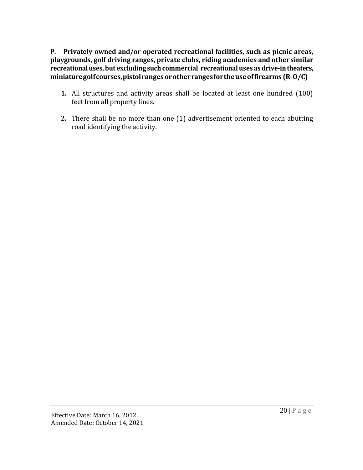**P. Privately owned and/or operated recreational facilities, such as picnic areas, playgrounds, golf driving ranges, private clubs, riding academies and other similar recreationaluses, but excluding such commercial recreational uses as drive-intheaters, miniaturegolfcourses,pistolranges orotherrangesfortheuseoffirearms (R-O/C)**

- **1.** All structures and activity areas shall be located at least one hundred (100) feet from all property lines.
- **2.** There shall be no more than one (1) advertisement oriented to each abutting road identifying the activity.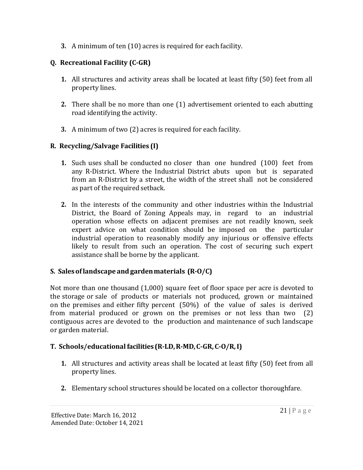**3.** A minimum of ten (10) acres is required for each facility.

# **Q. Recreational Facility (C-GR)**

- **1.** All structures and activity areas shall be located at least fifty (50) feet from all property lines.
- **2.** There shall be no more than one (1) advertisement oriented to each abutting road identifying the activity.
- **3.** A minimum of two (2) acres is required for each facility.

# **R. Recycling/Salvage Facilities (I)**

- **1.** Such uses shall be conducted no closer than one hundred (100) feet from any R-District. Where the Industrial District abuts upon but is separated from an R-District by a street, the width of the street shall not be considered as part of the required setback.
- **2.** In the interests of the community and other industries within the Industrial District, the Board of Zoning Appeals may, in regard to an industrial operation whose effects on adjacent premises are not readily known, seek expert advice on what condition should be imposed on the particular industrial operation to reasonably modify any injurious or offensive effects likely to result from such an operation. The cost of securing such expert assistance shall be borne by the applicant.

# **S. Salesoflandscape and gardenmaterials (R-O/C)**

Not more than one thousand (1,000) square feet of floor space per acre is devoted to the storage or sale of products or materials not produced, grown or maintained on the premises and either fifty percent (50%) of the value of sales is derived from material produced or grown on the premises or not less than two (2) contiguous acres are devoted to the production and maintenance of such landscape or garden material.

# **T. Schools/educationalfacilities (R-LD,R-MD,C-GR,C-O/R,I)**

- **1.** All structures and activity areas shall be located at least fifty (50) feet from all property lines.
- **2.** Elementary school structures should be located on a collector thoroughfare.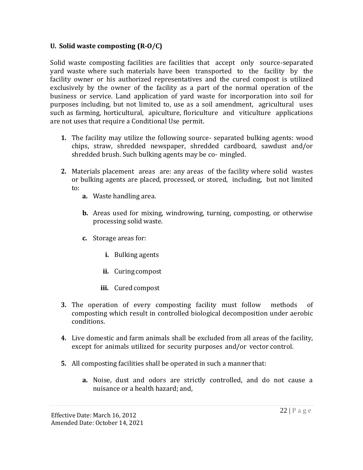#### **U. Solid waste composting (R-O/C)**

Solid waste composting facilities are facilities that accept only source-separated yard waste where such materials have been transported to the facility by the facility owner or his authorized representatives and the cured compost is utilized exclusively by the owner of the facility as a part of the normal operation of the business or service. Land application of yard waste for incorporation into soil for purposes including, but not limited to, use as a soil amendment, agricultural uses such as farming, horticultural, apiculture, floriculture and viticulture applications are not uses that require a Conditional Use permit.

- **1.** The facility may utilize the following source- separated bulking agents: wood chips, straw, shredded newspaper, shredded cardboard, sawdust and/or shredded brush. Such bulking agents may be co- mingled.
- **2.** Materials placement areas are: any areas of the facility where solid wastes or bulking agents are placed, processed, or stored, including, but not limited to:
	- **a.** Waste handling area.
	- **b.** Areas used for mixing, windrowing, turning, composting, or otherwise processing solid waste.
	- **c.** Storage areas for:
		- **i.** Bulking agents
		- **ii.** Curing compost
		- **iii.** Cured compost
- **3.** The operation of every composting facility must follow methods of composting which result in controlled biological decomposition under aerobic conditions.
- **4.** Live domestic and farm animals shall be excluded from all areas of the facility, except for animals utilized for security purposes and/or vector control.
- **5.** All composting facilities shall be operated in such a manner that:
	- **a.** Noise, dust and odors are strictly controlled, and do not cause a nuisance or a health hazard; and,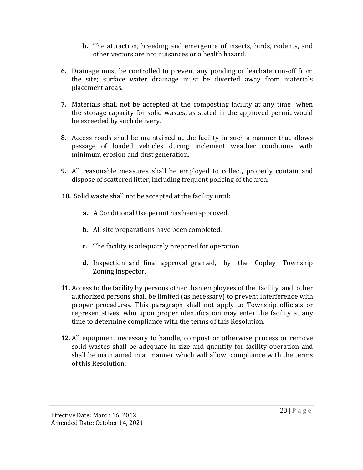- **b.** The attraction, breeding and emergence of insects, birds, rodents, and other vectors are not nuisances or a health hazard.
- **6.** Drainage must be controlled to prevent any ponding or leachate run-off from the site; surface water drainage must be diverted away from materials placement areas.
- **7.** Materials shall not be accepted at the composting facility at any time when the storage capacity for solid wastes, as stated in the approved permit would be exceeded by such delivery.
- **8.** Access roads shall be maintained at the facility in such a manner that allows passage of loaded vehicles during inclement weather conditions with minimum erosion and dust generation.
- **9.** All reasonable measures shall be employed to collect, properly contain and dispose of scattered litter, including frequent policing of the area.
- **10.** Solid waste shall not be accepted at the facility until:
	- **a.** A Conditional Use permit has been approved.
	- **b.** All site preparations have been completed.
	- **c.** The facility is adequately prepared for operation.
	- **d.** Inspection and final approval granted, by the Copley Township Zoning Inspector.
- **11.** Access to the facility by persons other than employees of the facility and other authorized persons shall be limited (as necessary) to prevent interference with proper procedures. This paragraph shall not apply to Township officials or representatives, who upon proper identification may enter the facility at any time to determine compliance with the terms of this Resolution.
- **12.** All equipment necessary to handle, compost or otherwise process or remove solid wastes shall be adequate in size and quantity for facility operation and shall be maintained in a manner which will allow compliance with the terms of this Resolution.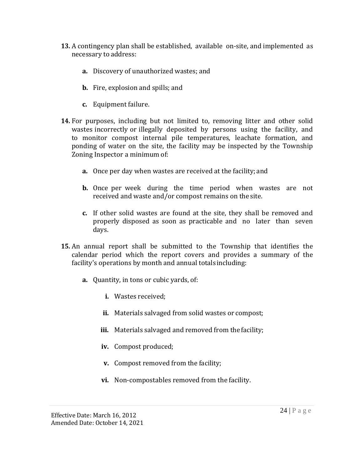- **13.** A contingency plan shall be established, available on-site, and implemented as necessary to address:
	- **a.** Discovery of unauthorized wastes; and
	- **b.** Fire, explosion and spills; and
	- **c.** Equipment failure.
- **14.** For purposes, including but not limited to, removing litter and other solid wastes incorrectly or illegally deposited by persons using the facility, and to monitor compost internal pile temperatures, leachate formation, and ponding of water on the site, the facility may be inspected by the Township Zoning Inspector a minimum of:
	- **a.** Once per day when wastes are received at the facility; and
	- **b.** Once per week during the time period when wastes are not received and waste and/or compost remains on the site.
	- **c.** If other solid wastes are found at the site, they shall be removed and properly disposed as soon as practicable and no later than seven days.
- **15.** An annual report shall be submitted to the Township that identifies the calendar period which the report covers and provides a summary of the facility's operations by month and annual totals including:
	- **a.** Quantity, in tons or cubic yards, of:
		- **i.** Wastes received;
		- **ii.** Materials salvaged from solid wastes or compost;
		- **iii.** Materials salvaged and removed from the facility;
		- **iv.** Compost produced;
		- **v.** Compost removed from the facility;
		- **vi.** Non-compostables removed from the facility.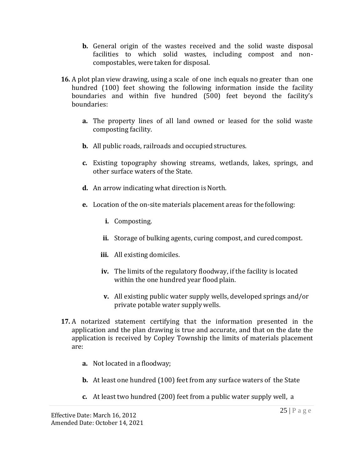- **b.** General origin of the wastes received and the solid waste disposal facilities to which solid wastes, including compost and noncompostables, were taken for disposal.
- **16.** A plot plan view drawing, using a scale of one inch equals no greater than one hundred (100) feet showing the following information inside the facility boundaries and within five hundred (500) feet beyond the facility's boundaries:
	- **a.** The property lines of all land owned or leased for the solid waste composting facility.
	- **b.** All public roads, railroads and occupied structures.
	- **c.** Existing topography showing streams, wetlands, lakes, springs, and other surface waters of the State.
	- **d.** An arrow indicating what direction is North.
	- **e.** Location of the on-site materials placement areas for the following:
		- **i.** Composting.
		- ii. Storage of bulking agents, curing compost, and cured compost.
		- **iii.** All existing domiciles.
		- **iv.** The limits of the regulatory floodway, if the facility is located within the one hundred year flood plain.
		- **v.** All existing public water supply wells, developed springs and/or private potable water supply wells.
- **17.** A notarized statement certifying that the information presented in the application and the plan drawing is true and accurate, and that on the date the application is received by Copley Township the limits of materials placement are:
	- **a.** Not located in a floodway;
	- **b.** At least one hundred (100) feet from any surface waters of the State
	- **c.** At least two hundred (200) feet from a public water supply well, a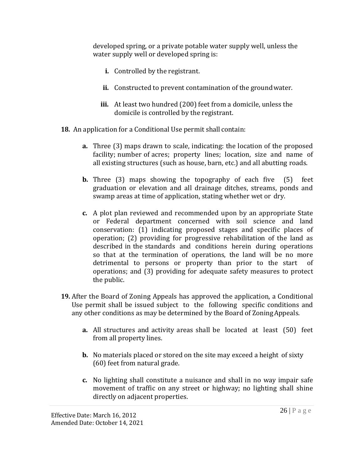developed spring, or a private potable water supply well, unless the water supply well or developed spring is:

- **i.** Controlled by the registrant.
- ii. Constructed to prevent contamination of the ground water.
- **iii.** At least two hundred (200) feet from a domicile, unless the domicile is controlled by the registrant.
- **18.** An application for a Conditional Use permit shall contain:
	- **a.** Three (3) maps drawn to scale, indicating: the location of the proposed facility; number of acres; property lines; location, size and name of all existing structures (such as house, barn, etc.) and all abutting roads.
	- **b.** Three (3) maps showing the topography of each five (5) feet graduation or elevation and all drainage ditches, streams, ponds and swamp areas at time of application, stating whether wet or dry.
	- **c.** A plot plan reviewed and recommended upon by an appropriate State or Federal department concerned with soil science and land conservation: (1) indicating proposed stages and specific places of operation; (2) providing for progressive rehabilitation of the land as described in the standards and conditions herein during operations so that at the termination of operations, the land will be no more detrimental to persons or property than prior to the start of operations; and (3) providing for adequate safety measures to protect the public.
- **19.** After the Board of Zoning Appeals has approved the application, a Conditional Use permit shall be issued subject to the following specific conditions and any other conditions as may be determined by the Board of ZoningAppeals.
	- **a.** All structures and activity areas shall be located at least (50) feet from all property lines.
	- **b.** No materials placed or stored on the site may exceed a height of sixty (60) feet from natural grade.
	- **c.** No lighting shall constitute a nuisance and shall in no way impair safe movement of traffic on any street or highway; no lighting shall shine directly on adjacent properties.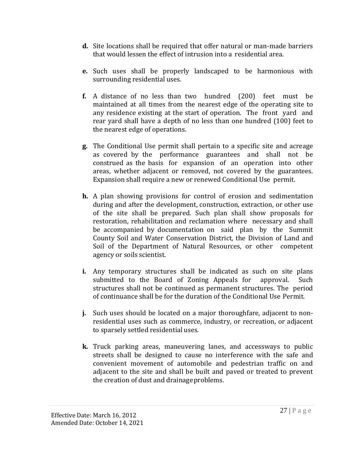- **d.** Site locations shall be required that offer natural or man-made barriers that would lessen the effect of intrusion into a residential area.
- **e.** Such uses shall be properly landscaped to be harmonious with surrounding residential uses.
- **f.** A distance of no less than two hundred (200) feet must be maintained at all times from the nearest edge of the operating site to any residence existing at the start of operation. The front yard and rear yard shall have a depth of no less than one hundred (100) feet to the nearest edge of operations.
- **g.** The Conditional Use permit shall pertain to a specific site and acreage as covered by the performance guarantees and shall not be construed as the basis for expansion of an operation into other areas, whether adjacent or removed, not covered by the guarantees. Expansion shall require a new or renewed Conditional Use permit.
- **h.** A plan showing provisions for control of erosion and sedimentation during and after the development, construction, extraction, or other use of the site shall be prepared. Such plan shall show proposals for restoration, rehabilitation and reclamation where necessary and shall be accompanied by documentation on said plan by the Summit County Soil and Water Conservation District, the Division of Land and Soil of the Department of Natural Resources, or other competent agency or soils scientist.
- **i.** Any temporary structures shall be indicated as such on site plans submitted to the Board of Zoning Appeals for approval. Such structures shall not be continued as permanent structures. The period of continuance shall be for the duration of the Conditional Use Permit.
- **j.** Such uses should be located on a major thoroughfare, adjacent to nonresidential uses such as commerce, industry, or recreation, or adjacent to sparsely settled residential uses.
- **k.** Truck parking areas, maneuvering lanes, and accessways to public streets shall be designed to cause no interference with the safe and convenient movement of automobile and pedestrian traffic on and adjacent to the site and shall be built and paved or treated to prevent the creation of dust and drainageproblems.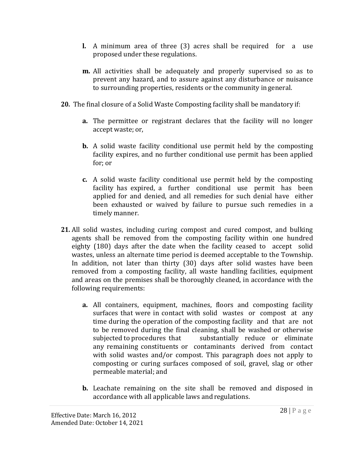- **l.** A minimum area of three (3) acres shall be required for a use proposed under these regulations.
- **m.** All activities shall be adequately and properly supervised so as to prevent any hazard, and to assure against any disturbance or nuisance to surrounding properties, residents or the community in general.
- **20.** The final closure of a Solid Waste Composting facility shall be mandatory if:
	- **a.** The permittee or registrant declares that the facility will no longer accept waste; or,
	- **b.** A solid waste facility conditional use permit held by the composting facility expires, and no further conditional use permit has been applied for; or
	- **c.** A solid waste facility conditional use permit held by the composting facility has expired, a further conditional use permit has been applied for and denied, and all remedies for such denial have either been exhausted or waived by failure to pursue such remedies in a timely manner.
- **21.** All solid wastes, including curing compost and cured compost, and bulking agents shall be removed from the composting facility within one hundred eighty (180) days after the date when the facility ceased to accept solid wastes, unless an alternate time period is deemed acceptable to the Township. In addition, not later than thirty (30) days after solid wastes have been removed from a composting facility, all waste handling facilities, equipment and areas on the premises shall be thoroughly cleaned, in accordance with the following requirements:
	- **a.** All containers, equipment, machines, floors and composting facility surfaces that were in contact with solid wastes or compost at any time during the operation of the composting facility and that are not to be removed during the final cleaning, shall be washed or otherwise subjected to procedures that substantially reduce or eliminate any remaining constituents or contaminants derived from contact with solid wastes and/or compost. This paragraph does not apply to composting or curing surfaces composed of soil, gravel, slag or other permeable material; and
	- **b.** Leachate remaining on the site shall be removed and disposed in accordance with all applicable laws and regulations.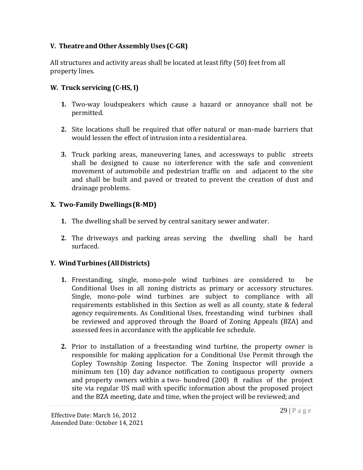# **V. TheatreandOtherAssemblyUses (C-GR)**

All structures and activity areas shall be located at least fifty (50) feet from all property lines.

## **W. Truck servicing (C-HS, I)**

- **1.** Two-way loudspeakers which cause a hazard or annoyance shall not be permitted.
- **2.** Site locations shall be required that offer natural or man-made barriers that would lessen the effect of intrusion into a residential area.
- **3.** Truck parking areas, maneuvering lanes, and accessways to public streets shall be designed to cause no interference with the safe and convenient movement of automobile and pedestrian traffic on and adjacent to the site and shall be built and paved or treated to prevent the creation of dust and drainage problems.

#### **X. Two-Family Dwellings(R-MD)**

- **1.** The dwelling shall be served by central sanitary sewer andwater.
- **2.** The driveways and parking areas serving the dwelling shall be hard surfaced.

# **Y. WindTurbines (AllDistricts)**

- **1.** Freestanding, single, mono-pole wind turbines are considered to be Conditional Uses in all zoning districts as primary or accessory structures. Single, mono-pole wind turbines are subject to compliance with all requirements established in this Section as well as all county, state & federal agency requirements. As Conditional Uses, freestanding wind turbines shall be reviewed and approved through the Board of Zoning Appeals (BZA) and assessed fees in accordance with the applicable fee schedule.
- **2.** Prior to installation of a freestanding wind turbine, the property owner is responsible for making application for a Conditional Use Permit through the Copley Township Zoning Inspector. The Zoning Inspector will provide a minimum ten (10) day advance notification to contiguous property owners and property owners within a two- hundred (200) ft radius of the project site via regular US mail with specific information about the proposed project and the BZA meeting, date and time, when the project will be reviewed; and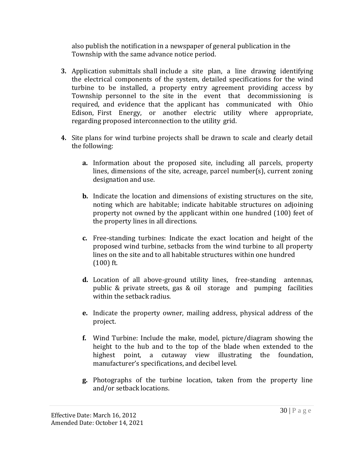also publish the notification in a newspaper of general publication in the Township with the same advance notice period.

- **3.** Application submittals shall include a site plan, a line drawing identifying the electrical components of the system, detailed specifications for the wind turbine to be installed, a property entry agreement providing access by Township personnel to the site in the event that decommissioning is required, and evidence that the applicant has communicated with Ohio Edison, First Energy, or another electric utility where appropriate, regarding proposed interconnection to the utility grid.
- **4.** Site plans for wind turbine projects shall be drawn to scale and clearly detail the following:
	- **a.** Information about the proposed site, including all parcels, property lines, dimensions of the site, acreage, parcel number(s), current zoning designation and use.
	- **b.** Indicate the location and dimensions of existing structures on the site, noting which are habitable; indicate habitable structures on adjoining property not owned by the applicant within one hundred (100) feet of the property lines in all directions.
	- **c.** Free-standing turbines: Indicate the exact location and height of the proposed wind turbine, setbacks from the wind turbine to all property lines on the site and to all habitable structures within one hundred  $(100)$  ft.
	- **d.** Location of all above-ground utility lines, free-standing antennas, public & private streets, gas & oil storage and pumping facilities within the setback radius.
	- **e.** Indicate the property owner, mailing address, physical address of the project.
	- **f.** Wind Turbine: Include the make, model, picture/diagram showing the height to the hub and to the top of the blade when extended to the highest point, a cutaway view illustrating the foundation, manufacturer's specifications, and decibel level.
	- **g.** Photographs of the turbine location, taken from the property line and/or setback locations.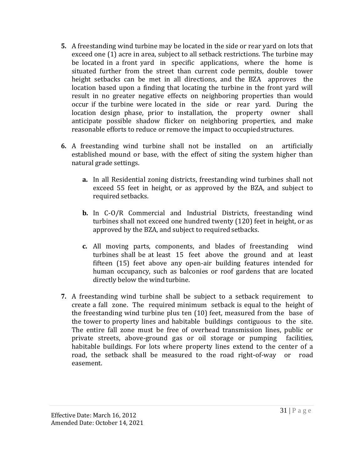- **5.** A freestanding wind turbine may be located in the side or rear yard on lots that exceed one (1) acre in area, subject to all setback restrictions. The turbine may be located in a front yard in specific applications, where the home is situated further from the street than current code permits, double tower height setbacks can be met in all directions, and the BZA approves the location based upon a finding that locating the turbine in the front yard will result in no greater negative effects on neighboring properties than would occur if the turbine were located in the side or rear yard. During the location design phase, prior to installation, the property owner shall anticipate possible shadow flicker on neighboring properties, and make reasonable efforts to reduce or remove the impact to occupiedstructures.
- **6.** A freestanding wind turbine shall not be installed on an artificially established mound or base, with the effect of siting the system higher than natural grade settings.
	- **a.** In all Residential zoning districts, freestanding wind turbines shall not exceed 55 feet in height, or as approved by the BZA, and subject to required setbacks.
	- **b.** In C-O/R Commercial and Industrial Districts, freestanding wind turbines shall not exceed one hundred twenty (120) feet in height, or as approved by the BZA, and subject to required setbacks.
	- **c.** All moving parts, components, and blades of freestanding wind turbines shall be at least 15 feet above the ground and at least fifteen (15) feet above any open-air building features intended for human occupancy, such as balconies or roof gardens that are located directly below the wind turbine.
- **7.** A freestanding wind turbine shall be subject to a setback requirement to create a fall zone. The required minimum setback is equal to the height of the freestanding wind turbine plus ten (10) feet, measured from the base of the tower to property lines and habitable buildings contiguous to the site. The entire fall zone must be free of overhead transmission lines, public or private streets, above-ground gas or oil storage or pumping facilities, habitable buildings. For lots where property lines extend to the center of a road, the setback shall be measured to the road right-of-way or road easement.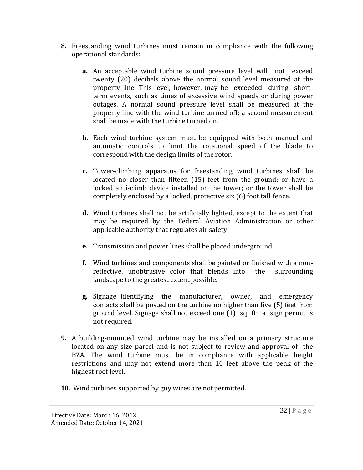- **8.** Freestanding wind turbines must remain in compliance with the following operational standards:
	- **a.** An acceptable wind turbine sound pressure level will not exceed twenty (20) decibels above the normal sound level measured at the property line. This level, however, may be exceeded during shortterm events, such as times of excessive wind speeds or during power outages. A normal sound pressure level shall be measured at the property line with the wind turbine turned off; a second measurement shall be made with the turbine turned on.
	- **b.** Each wind turbine system must be equipped with both manual and automatic controls to limit the rotational speed of the blade to correspond with the design limits of the rotor.
	- **c.** Tower-climbing apparatus for freestanding wind turbines shall be located no closer than fifteen (15) feet from the ground; or have a locked anti-climb device installed on the tower; or the tower shall be completely enclosed by a locked, protective six (6) foot tall fence.
	- **d.** Wind turbines shall not be artificially lighted, except to the extent that may be required by the Federal Aviation Administration or other applicable authority that regulates air safety.
	- **e.** Transmission and power lines shall be placed underground.
	- **f.** Wind turbines and components shall be painted or finished with a nonreflective, unobtrusive color that blends into the surrounding landscape to the greatest extent possible.
	- **g.** Signage identifying the manufacturer, owner, and emergency contacts shall be posted on the turbine no higher than five (5) feet from ground level. Signage shall not exceed one (1) sq ft; a sign permit is not required.
- **9.** A building-mounted wind turbine may be installed on a primary structure located on any size parcel and is not subject to review and approval of the BZA. The wind turbine must be in compliance with applicable height restrictions and may not extend more than 10 feet above the peak of the highest roof level.
- **10.** Wind turbines supported by guy wires are not permitted.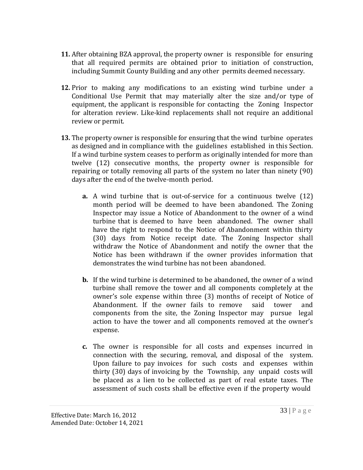- **11.** After obtaining BZA approval, the property owner is responsible for ensuring that all required permits are obtained prior to initiation of construction, including Summit County Building and any other permits deemed necessary.
- **12.** Prior to making any modifications to an existing wind turbine under a Conditional Use Permit that may materially alter the size and/or type of equipment, the applicant is responsible for contacting the Zoning Inspector for alteration review. Like-kind replacements shall not require an additional review or permit.
- **13.** The property owner is responsible for ensuring that the wind turbine operates as designed and in compliance with the guidelines established in this Section. If a wind turbine system ceases to perform as originally intended for more than twelve (12) consecutive months, the property owner is responsible for repairing or totally removing all parts of the system no later than ninety (90) days after the end of the twelve-month period.
	- **a.** A wind turbine that is out-of-service for a continuous twelve (12) month period will be deemed to have been abandoned. The Zoning Inspector may issue a Notice of Abandonment to the owner of a wind turbine that is deemed to have been abandoned. The owner shall have the right to respond to the Notice of Abandonment within thirty (30) days from Notice receipt date. The Zoning Inspector shall withdraw the Notice of Abandonment and notify the owner that the Notice has been withdrawn if the owner provides information that demonstrates the wind turbine has not been abandoned.
	- **b.** If the wind turbine is determined to be abandoned, the owner of a wind turbine shall remove the tower and all components completely at the owner's sole expense within three (3) months of receipt of Notice of Abandonment. If the owner fails to remove said tower and components from the site, the Zoning Inspector may pursue legal action to have the tower and all components removed at the owner's expense.
	- **c.** The owner is responsible for all costs and expenses incurred in connection with the securing, removal, and disposal of the system. Upon failure to pay invoices for such costs and expenses within thirty (30) days of invoicing by the Township, any unpaid costs will be placed as a lien to be collected as part of real estate taxes. The assessment of such costs shall be effective even if the property would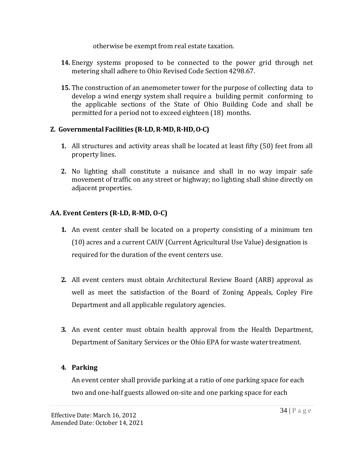otherwise be exempt from real estate taxation.

- **14.** Energy systems proposed to be connected to the power grid through net metering shall adhere to Ohio Revised Code Section 4298.67.
- **15.** The construction of an anemometer tower for the purpose of collecting data to develop a wind energy system shall require a building permit conforming to the applicable sections of the State of Ohio Building Code and shall be permitted for a period not to exceed eighteen (18) months.

## **Z. Governmental Facilities (R-LD,R-MD,R-HD,O-C)**

- **1.** All structures and activity areas shall be located at least fifty (50) feet from all property lines.
- **2.** No lighting shall constitute a nuisance and shall in no way impair safe movement of traffic on any street or highway; no lighting shall shine directly on adjacent properties.

# **AA. Event Centers (R-LD, R-MD, O-C)**

- **1.** An event center shall be located on a property consisting of a minimum ten (10) acres and a current CAUV (Current Agricultural Use Value) designation is required for the duration of the event centers use.
- **2.** All event centers must obtain Architectural Review Board (ARB) approval as well as meet the satisfaction of the Board of Zoning Appeals, Copley Fire Department and all applicable regulatory agencies.
- **3.** An event center must obtain health approval from the Health Department, Department of Sanitary Services or the Ohio EPA for waste water treatment.

#### **4. Parking**

An event center shall provide parking at a ratio of one parking space for each two and one-half guests allowed on-site and one parking space for each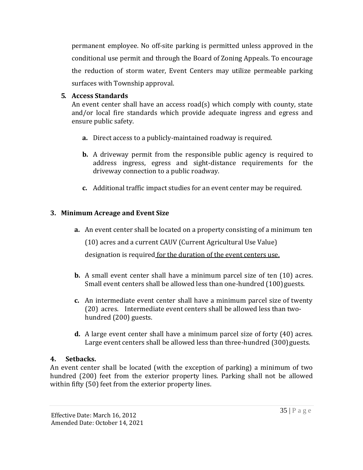permanent employee. No off-site parking is permitted unless approved in the conditional use permit and through the Board of Zoning Appeals. To encourage the reduction of storm water, Event Centers may utilize permeable parking surfaces with Township approval.

### **5. Access Standards**

An event center shall have an access road(s) which comply with county, state and/or local fire standards which provide adequate ingress and egress and ensure public safety.

- **a.** Direct access to a publicly-maintained roadway is required.
- **b.** A driveway permit from the responsible public agency is required to address ingress, egress and sight-distance requirements for the driveway connection to a public roadway.
- **c.** Additional traffic impact studies for an event center may be required.

# **3. Minimum Acreage and Event Size**

**a.** An event center shall be located on a property consisting of a minimum ten

(10) acres and a current CAUV (Current Agricultural Use Value)

designation is required for the duration of the event centers use.

- **b.** A small event center shall have a minimum parcel size of ten (10) acres. Small event centers shall be allowed less than one-hundred (100) guests.
- **c.** An intermediate event center shall have a minimum parcel size of twenty (20) acres. Intermediate event centers shall be allowed less than twohundred (200) guests.
- **d.** A large event center shall have a minimum parcel size of forty (40) acres. Large event centers shall be allowed less than three-hundred (300) guests.

# **4. Setbacks.**

An event center shall be located (with the exception of parking) a minimum of two hundred (200) feet from the exterior property lines. Parking shall not be allowed within fifty (50) feet from the exterior property lines.